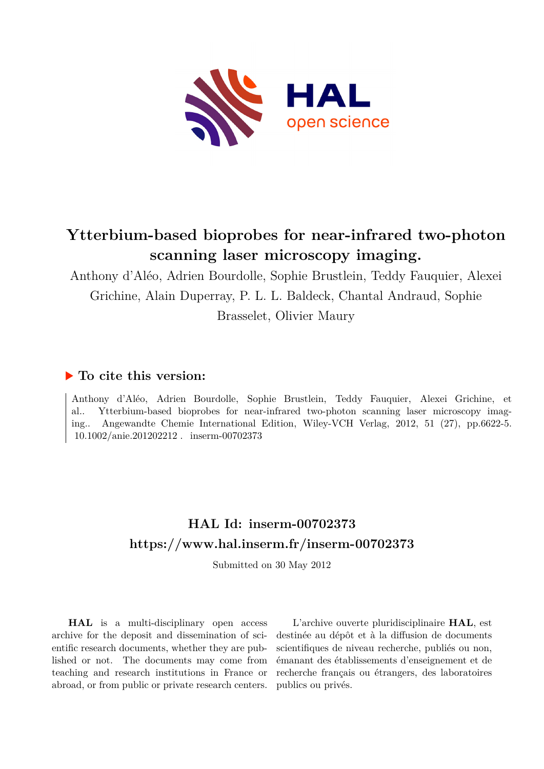

# **Ytterbium-based bioprobes for near-infrared two-photon scanning laser microscopy imaging.**

Anthony d'Aléo, Adrien Bourdolle, Sophie Brustlein, Teddy Fauquier, Alexei Grichine, Alain Duperray, P. L. L. Baldeck, Chantal Andraud, Sophie Brasselet, Olivier Maury

### **To cite this version:**

Anthony d'Aléo, Adrien Bourdolle, Sophie Brustlein, Teddy Fauquier, Alexei Grichine, et al.. Ytterbium-based bioprobes for near-infrared two-photon scanning laser microscopy imaging.. Angewandte Chemie International Edition, Wiley-VCH Verlag, 2012, 51 (27), pp.6622-5.  $10.1002/\text{anie}.201202212$ . inserm-00702373

## **HAL Id: inserm-00702373 <https://www.hal.inserm.fr/inserm-00702373>**

Submitted on 30 May 2012

**HAL** is a multi-disciplinary open access archive for the deposit and dissemination of scientific research documents, whether they are published or not. The documents may come from teaching and research institutions in France or abroad, or from public or private research centers.

L'archive ouverte pluridisciplinaire **HAL**, est destinée au dépôt et à la diffusion de documents scientifiques de niveau recherche, publiés ou non, émanant des établissements d'enseignement et de recherche français ou étrangers, des laboratoires publics ou privés.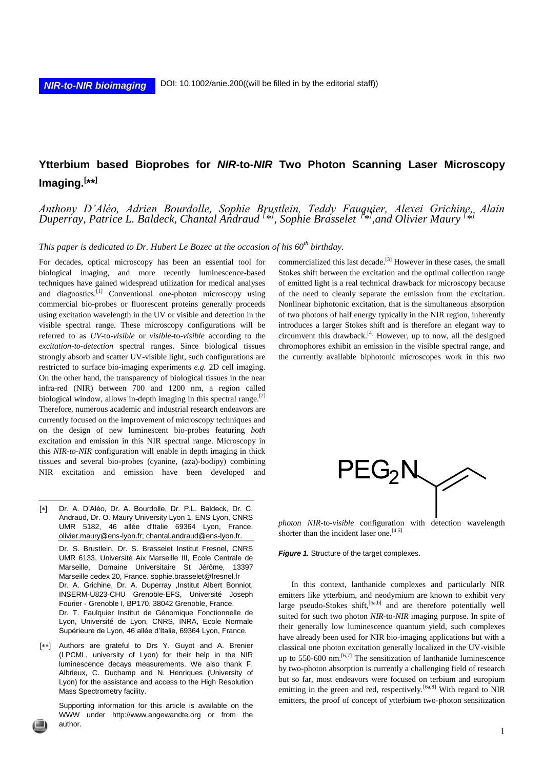### **Ytterbium based Bioprobes for** *NIR***-to-***NIR* **Two Photon Scanning Laser Microscopy Imaging.[ \*\*]**

#### *Anthony D'Aléo, Adrien Bourdolle, Sophie Brustlein, Teddy Fauquier, Alexei Grichine, Alain Duperray, Patrice L. Baldeck, Chantal Andraud <sup>[\*</sup>*, *Sophie Brasselet* <sup>*[\*\*]*</sup>, and Olivier Maury <sup>[\*</sup>*\**]

*This paper is dedicated to Dr. Hubert Le Bozec at the occasion of his 60th birthday.*

For decades, optical microscopy has been an essential tool for biological imaging, and more recently luminescence-based techniques have gained widespread utilization for medical analyses and diagnostics.<sup>[1]</sup> Conventional one-photon microscopy using commercial bio-probes or fluorescent proteins generally proceeds using excitation wavelength in the UV or visible and detection in the visible spectral range. These microscopy configurations will be referred to as *UV*-to-*visible* or *visible*-to-*visible* according to the *excitation-to-detection* spectral ranges. Since biological tissues strongly absorb and scatter UV-visible light, such configurations are restricted to surface bio-imaging experiments *e.g.* 2D cell imaging. On the other hand, the transparency of biological tissues in the near infra-red (NIR) between 700 and 1200 nm, a region called biological window, allows in-depth imaging in this spectral range.[2] Therefore, numerous academic and industrial research endeavors are currently focused on the improvement of microscopy techniques and on the design of new luminescent bio-probes featuring *both* excitation and emission in this NIR spectral range. Microscopy in this *NIR-to-NIR* configuration will enable in depth imaging in thick tissues and several bio-probes (cyanine, (aza)-bodipy) combining NIR excitation and emission have been developed and

- [\*] Dr. A. D'Aléo, Dr. A. Bourdolle, Dr. P.L. Baldeck, Dr. C. Andraud, Dr. O. Maury University Lyon 1, ENS Lyon, CNRS UMR 5182, 46 allée d'Italie 69364 Lyon, France. [olivier.maury@ens-lyon.fr;](mailto:olivier.maury@ens-lyon.fr) chantal[.andraud@ens-lyon.fr.](mailto:andraud@ens-lyon.fr) Dr. S. Brustlein, Dr. S. Brasselet Institut Fresnel, CNRS UMR 6133, Université Aix Marseille III, Ecole Centrale de Marseille, Domaine Universitaire St Jérôme, 13397 Marseille cedex 20, France. [sophie.brasselet@fresnel.fr](mailto:sophie.brasselet@fresnel.fr) Dr. A. Grichine, Dr. A. Duperray ,Institut Albert Bonniot, INSERM-U823-CHU Grenoble-EFS, Université Joseph Fourier - Grenoble I, BP170, 38042 Grenoble, France. Dr. T. Faulquier Institut de Génomique Fonctionnelle de Lyon, Université de Lyon, CNRS, INRA, Ecole Normale Supérieure de Lyon, 46 allée d'Italie, 69364 Lyon, France.
- [\*\*] Authors are grateful to Drs Y. Guyot and A. Brenier (LPCML, university of Lyon) for their help in the NIR luminescence decays measurements. We also thank F. Albrieux, C. Duchamp and N. Henriques (University of Lyon) for the assistance and access to the High Resolution Mass Spectrometry facility.

Supporting information for this article is available on the WWW under http://www.angewandte.org or from the author.

commercialized this last decade.<sup>[3]</sup> However in these cases, the small Stokes shift between the excitation and the optimal collection range of emitted light is a real technical drawback for microscopy because of the need to cleanly separate the emission from the excitation. Nonlinear biphotonic excitation, that is the simultaneous absorption of two photons of half energy typically in the NIR region, inherently introduces a larger Stokes shift and is therefore an elegant way to circumvent this drawback.[4] However, up to now, all the designed chromophores exhibit an emission in the visible spectral range, and the currently available biphotonic microscopes work in this *two* 



*photon NIR-*to*-visible* configuration with detection wavelength shorter than the incident laser one. $[4,5]$ 

*Figure 1.* Structure of the target complexes.

In this context, lanthanide complexes and particularly NIR emitters like ytterbium, and neodymium are known to exhibit very large pseudo-Stokes shift, <sup>[6a,b]</sup> and are therefore potentially well suited for such two photon *NIR*-to-*NIR* imaging purpose. In spite of their generally low luminescence quantum yield, such complexes have already been used for NIR bio-imaging applications but with a classical one photon excitation generally localized in the UV-visible up to 550-600 nm. $[6,7]$  The sensitization of lanthanide luminescence by two-photon absorption is currently a challenging field of research but so far, most endeavors were focused on terbium and europium emitting in the green and red, respectively.<sup>[6a,8]</sup> With regard to NIR emitters, the proof of concept of ytterbium two-photon sensitization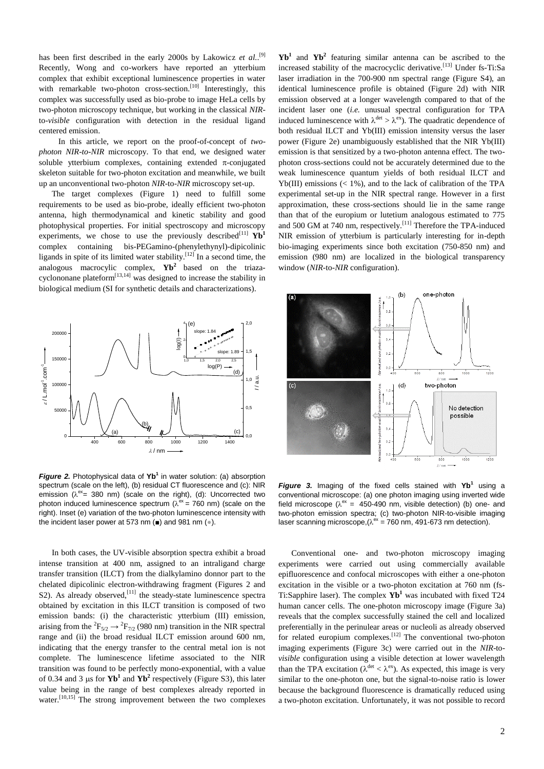has been first described in the early 2000s by Lakowicz et al.<sup>[9]</sup> Recently, Wong and co-workers have reported an ytterbium complex that exhibit exceptional luminescence properties in water with remarkable two-photon cross-section.<sup>[10]</sup> Interestingly, this complex was successfully used as bio-probe to image HeLa cells by two-photon microscopy technique, but working in the classical *NIR*to-*visible* configuration with detection in the residual ligand centered emission.

In this article, we report on the proof-of-concept of *twophoton NIR-to-NIR* microscopy. To that end, we designed water soluble ytterbium complexes, containing extended  $\pi$ -conjugated skeleton suitable for two-photon excitation and meanwhile, we built up an unconventional two-photon *NIR*-to-*NIR* microscopy set-up.

The target complexes (Figure 1) need to fulfill some requirements to be used as bio-probe, ideally efficient two-photon antenna, high thermodynamical and kinetic stability and good photophysical properties. For initial spectroscopy and microscopy experiments, we chose to use the previously described<sup>[11]</sup>  $Yb<sup>1</sup>$ complex containing bis-PEGamino-(phenylethynyl)-dipicolinic ligands in spite of its limited water stability.<sup>[12]</sup> In a second time, the analogous macrocylic complex, **Yb<sup>2</sup>** based on the triazacyclononane plateform $^{[13,14]}$  was designed to increase the stability in biological medium (SI for synthetic details and characterizations).



*Figure 2.* Photophysical data of **Yb<sup>1</sup>** in water solution: (a) absorption spectrum (scale on the left), (b) residual CT fluorescence and (c): NIR emission ( $\lambda^{ex}$  = 380 nm) (scale on the right), (d): Uncorrected two photon induced luminescence spectrum ( $\lambda^{\text{ex}}$  = 760 nm) (scale on the right). Inset (e) variation of the two-photon luminescence intensity with the incident laser power at 573 nm (■) and 981 nm (●).

In both cases, the UV-visible absorption spectra exhibit a broad intense transition at 400 nm, assigned to an intraligand charge transfer transition (ILCT) from the dialkylamino donnor part to the chelated dipicolinic electron-withdrawing fragment (Figures 2 and S2). As already observed,  $^{[11]}$  the steady-state luminescence spectra obtained by excitation in this ILCT transition is composed of two emission bands: (i) the characteristic ytterbium (III) emission, arising from the <sup>2</sup> $F_{5/2} \rightarrow {}^2F_{7/2}$  (980 nm) transition in the NIR spectral range and (ii) the broad residual ILCT emission around 600 nm, indicating that the energy transfer to the central metal ion is not complete. The luminescence lifetime associated to the NIR transition was found to be perfectly mono-exponential, with a value of 0.34 and 3  $\mu$ s for **Yb<sup>1</sup>** and **Yb<sup>2</sup>** respectively (Figure S3), this later value being in the range of best complexes already reported in water.<sup>[10,15]</sup> The strong improvement between the two complexes

**Yb<sup>1</sup>** and **Yb<sup>2</sup>** featuring similar antenna can be ascribed to the increased stability of the macrocyclic derivative.<sup>[13]</sup> Under fs-Ti:Sa laser irradiation in the 700-900 nm spectral range (Figure S4), an identical luminescence profile is obtained (Figure 2d) with NIR emission observed at a longer wavelength compared to that of the incident laser one (*i.e.* unusual spectral configuration for TPA induced luminescence with  $\lambda^{\text{det}} > \lambda^{\text{ex}}$ ). The quadratic dependence of both residual ILCT and Yb(III) emission intensity versus the laser power (Figure 2e) unambiguously established that the NIR Yb(III) emission is that sensitized by a two-photon antenna effect. The twophoton cross-sections could not be accurately determined due to the weak luminescence quantum yields of both residual ILCT and Yb(III) emissions  $(< 1\%)$ , and to the lack of calibration of the TPA experimental set-up in the NIR spectral range. However in a first approximation, these cross-sections should lie in the same range than that of the europium or lutetium analogous estimated to 775 and 500 GM at 740 nm, respectively.<sup>[11]</sup> Therefore the TPA-induced NIR emission of ytterbium is particularly interesting for in-depth bio-imaging experiments since both excitation (750-850 nm) and emission (980 nm) are localized in the biological transparency window (*NIR*-to-*NIR* configuration).



*Figure 3.* Imaging of the fixed cells stained with **Yb<sup>1</sup>** using a conventional microscope: (a) one photon imaging using inverted wide field microscope ( $\lambda^{\text{ex}} = 450 - 490$  nm, visible detection) (b) one- and two-photon emission spectra; (c) two-photon NIR-to-visible imaging laser scanning microscope,  $(\lambda^{\text{ex}} = 760 \text{ nm}, 491 \text{--} 673 \text{ nm}$  detection).

Conventional one- and two-photon microscopy imaging experiments were carried out using commercially available epifluorescence and confocal microscopes with either a one-photon excitation in the visible or a two-photon excitation at 760 nm (fs-Ti:Sapphire laser). The complex **Yb<sup>1</sup>** was incubated with fixed T24 human cancer cells. The one-photon microscopy image (Figure 3a) reveals that the complex successfully stained the cell and localized preferentially in the perinulear areas or nucleoli as already observed for related europium complexes.<sup>[12]</sup> The conventional two-photon imaging experiments (Figure 3c) were carried out in the *NIR*-to*visible* configuration using a visible detection at lower wavelength than the TPA excitation ( $\lambda^{\text{det}} < \lambda^{\text{ex}}$ ). As expected, this image is very similar to the one-photon one, but the signal-to-noise ratio is lower because the background fluorescence is dramatically reduced using a two-photon excitation. Unfortunately, it was not possible to record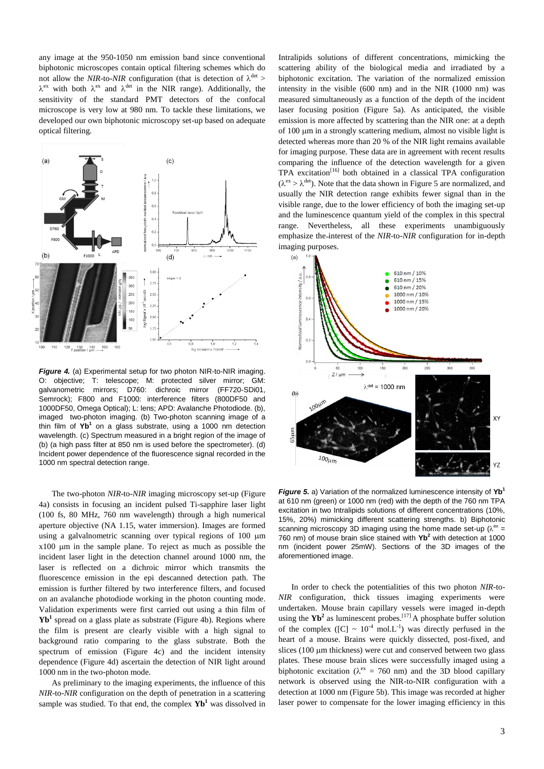any image at the 950-1050 nm emission band since conventional biphotonic microscopes contain optical filtering schemes which do not allow the *NIR*-to-*NIR* configuration (that is detection of  $\lambda^{\text{det}}$  >  $\lambda^{ex}$  with both  $\lambda^{ex}$  and  $\lambda^{det}$  in the NIR range). Additionally, the sensitivity of the standard PMT detectors of the confocal microscope is very low at 980 nm. To tackle these limitations, we developed our own biphotonic microscopy set-up based on adequate optical filtering.



*Figure 4.* (a) Experimental setup for two photon NIR-to-NIR imaging. O: objective; T: telescope; M: protected silver mirror; GM: galvanometric mirrors; D760: dichroic mirror (FF720-SDi01, Semrock); F800 and F1000: interference filters (800DF50 and 1000DF50, Omega Optical); L: lens; APD: Avalanche Photodiode. (b), imaged two-photon imaging. (b) Two-photon scanning image of a thin film of **Yb<sup>1</sup>** on a glass substrate, using a 1000 nm detection wavelength. (c) Spectrum measured in a bright region of the image of (b) (a high pass filter at 850 nm is used before the spectrometer). (d) Incident power dependence of the fluorescence signal recorded in the 1000 nm spectral detection range.

The two-photon *NIR*-to-*NIR* imaging microscopy set-up (Figure 4a) consists in focusing an incident pulsed Ti-sapphire laser light (100 fs, 80 MHz, 760 nm wavelength) through a high numerical aperture objective (NA 1.15, water immersion). Images are formed using a galvalnometric scanning over typical regions of 100  $\mu$ m  $x100 \mu m$  in the sample plane. To reject as much as possible the incident laser light in the detection channel around 1000 nm, the laser is reflected on a dichroic mirror which transmits the fluorescence emission in the epi descanned detection path. The emission is further filtered by two interference filters, and focused on an avalanche photodiode working in the photon counting mode. Validation experiments were first carried out using a thin film of **Yb<sup>1</sup>** spread on a glass plate as substrate (Figure 4b). Regions where the film is present are clearly visible with a high signal to background ratio comparing to the glass substrate. Both the spectrum of emission (Figure 4c) and the incident intensity dependence (Figure 4d) ascertain the detection of NIR light around 1000 nm in the two-photon mode.

As preliminary to the imaging experiments, the influence of this *NIR*-to-*NIR* configuration on the depth of penetration in a scattering sample was studied. To that end, the complex **Yb<sup>1</sup>** was dissolved in Intralipids solutions of different concentrations, mimicking the scattering ability of the biological media and irradiated by a biphotonic excitation. The variation of the normalized emission intensity in the visible (600 nm) and in the NIR (1000 nm) was measured simultaneously as a function of the depth of the incident laser focusing position (Figure 5a). As anticipated, the visible emission is more affected by scattering than the NIR one: at a depth of  $100 \mu m$  in a strongly scattering medium, almost no visible light is detected whereas more than 20 % of the NIR light remains available for imaging purpose. These data are in agreement with recent results comparing the influence of the detection wavelength for a given TPA excitation<sup>[16]</sup> both obtained in a classical TPA configuration  $(\lambda^{\text{ex}} > \lambda^{\text{det}})$ . Note that the data shown in Figure 5 are normalized, and usually the NIR detection range exhibits fewer signal than in the visible range, due to the lower efficiency of both the imaging set-up and the luminescence quantum yield of the complex in this spectral range. Nevertheless, all these experiments unambiguously emphasize the interest of the *NIR*-to-*NIR* configuration for in-depth imaging purposes.



*Figure 5.* a) Variation of the normalized luminescence intensity of **Yb<sup>1</sup>** at 610 nm (green) or 1000 nm (red) with the depth of the 760 nm TPA excitation in two Intralipids solutions of different concentrations (10%, 15%, 20%) mimicking different scattering strengths. b) Biphotonic scanning microscopy 3D imaging using the home made set-up  $(\lambda^{ex} =$ 760 nm) of mouse brain slice stained with **Yb<sup>2</sup>** with detection at 1000 nm (incident power 25mW). Sections of the 3D images of the aforementioned image.

In order to check the potentialities of this two photon *NIR*-to-*NIR* configuration, thick tissues imaging experiments were undertaken. Mouse brain capillary vessels were imaged in-depth using the  $Yb^2$  as luminescent probes.<sup>[17]</sup> A phosphate buffer solution of the complex ([C]  $\sim 10^{-4}$  mol.L<sup>-1</sup>) was directly perfused in the heart of a mouse. Brains were quickly dissected, post-fixed, and slices  $(100 \mu m)$  thickness) were cut and conserved between two glass plates. These mouse brain slices were successfully imaged using a biphotonic excitation ( $\lambda$ <sup>ex</sup> = 760 nm) and the 3D blood capillary network is observed using the NIR-to-NIR configuration with a detection at 1000 nm (Figure 5b). This image was recorded at higher laser power to compensate for the lower imaging efficiency in this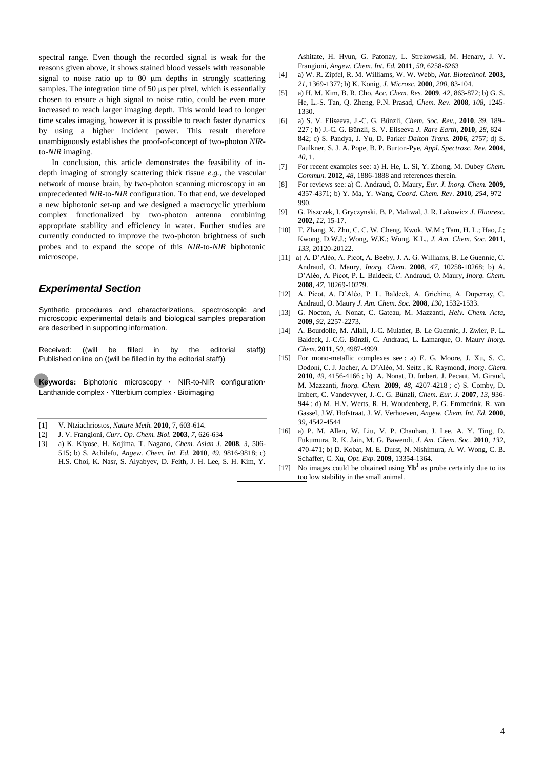spectral range. Even though the recorded signal is weak for the reasons given above, it shows stained blood vessels with reasonable signal to noise ratio up to  $80 \mu m$  depths in strongly scattering samples. The integration time of  $50 \mu s$  per pixel, which is essentially chosen to ensure a high signal to noise ratio, could be even more increased to reach larger imaging depth. This would lead to longer time scales imaging, however it is possible to reach faster dynamics by using a higher incident power. This result therefore unambiguously establishes the proof-of-concept of two-photon *NIR*to-*NIR* imaging.

In conclusion, this article demonstrates the feasibility of indepth imaging of strongly scattering thick tissue *e.g.*, the vascular network of mouse brain, by two-photon scanning microscopy in an unprecedented *NIR*-to-*NIR* configuration. To that end, we developed a new biphotonic set-up and we designed a macrocyclic ytterbium complex functionalized by two-photon antenna combining appropriate stability and efficiency in water. Further studies are currently conducted to improve the two-photon brightness of such probes and to expand the scope of this *NIR*-to-*NIR* biphotonic microscope.

#### *Experimental Section*

Synthetic procedures and characterizations, spectroscopic and microscopic experimental details and biological samples preparation are described in supporting information.

Received: ((will be filled in by the editorial staff)) Published online on ((will be filled in by the editorial staff))

**Keywords:** Biphotonic microscopy **·** NIR-to-NIR configuration**·** Lanthanide complex **·** Ytterbium complex **·** Bioimaging

- [1] V. Ntziachriostos, *Nature Meth.* **2010**, 7, 603-614.
- [2] J. V. Frangioni, *Curr. Op. Chem. Biol.* **2003**, *7*, 626-634
- [3] a) K. Kiyose, H. Kojima, T. Nagano, *Chem. Asian J.* **2008**, *3*, 506- 515; b) S. Achilefu, *Angew. Chem. Int. Ed.* **2010**, *49*, 9816-9818; c) H.S. Choi, K. Nasr, S. Alyabyev, D. Feith, J. H. Lee, S. H. Kim, Y.

Ashitate, H. Hyun, G. Patonay, L. Strekowski, M. Henary, J. V. Frangioni, *Angew. Chem. Int. Ed.* **2011**, *50*, 6258-6263

- [4] a) W. R. Zipfel, R. M. Williams, W. W. Webb, *Nat. Biotechnol.* **2003**, *21*, 1369-1377; b) K. Konig, *J. Microsc.* **2000**, *200*, 83-104.
- [5] a) H. M. Kim, B. R. Cho, *Acc. Chem. Res.* **2009**, *42*, 863-872; b) G. S. He, L.-S. Tan, Q. Zheng, P.N. Prasad, *Chem. Rev.* **2008**, *108*, 1245- 1330.
- [6] a) S. V. Eliseeva, J.-C. G. Bünzli, *Chem. Soc. Rev*., **2010**, *39*, 189– 227 ; b) J.-C. G. Bünzli, S. V. Eliseeva *J. Rare Earth*, **2010**, *28*, 824– 842; c) S. Pandya, J. Yu, D. Parker *Dalton Trans.* **2006**, 2757; d) S. Faulkner, S. J. A. Pope, B. P. Burton-Pye, *Appl. Spectrosc. Rev.* **2004**, *40*, 1.
- [7] For recent examples see: a) H. He, L. Si, Y. Zhong, M. Dubey *Chem. Commun.* **2012**, *48*, 1886-1888 and references therein.
- [8] For reviews see: a) C. Andraud, O. Maury, *Eur. J. Inorg. Chem.* **2009**, 4357-4371; b) Y. Ma, Y. Wang, *Coord. Chem. Rev*. **2010**, *254*, 972– 990.
- [9] G. Piszczek, I. Gryczynski, B. P. Maliwal, J. R. Lakowicz *J. Fluoresc.*  **2002**, *12*, 15-17.
- [10] T. Zhang, X. Zhu, C. C. W. Cheng, Kwok, W.M.; Tam, H. L.; Hao, J.; Kwong, D.W.J.; Wong, W.K.; Wong, K.L., *J. Am. Chem. Soc.* **2011**, *133*, 20120-20122.
- [11] a) A. D'Aléo, A. Picot, A. Beeby, J. A. G. Williams, B. Le Guennic, C. Andraud, O. Maury, *Inorg. Chem.* **2008**, *47*, 10258-10268; b) A. D'Aléo, A. Picot, P. L. Baldeck, C. Andraud, O. Maury, *Inorg. Chem.*  **2008**, *47*, 10269-10279.
- [12] A. Picot, A. D'Aléo, P. L. Baldeck, A. Grichine, A. Duperray, C. Andraud, O. Maury *J. Am. Chem. Soc.* **2008**, *130*, 1532-1533.
- [13] G. Nocton, A. Nonat, C. Gateau, M. Mazzanti, *Helv. Chem. Acta*, **2009**, *92*, 2257-2273.
- [14] A. Bourdolle, M. Allali, J.-C. Mulatier, B. Le Guennic, J. Zwier, P. L. Baldeck, J.-C.G. Bünzli, C. Andraud, L. Lamarque, O. Maury *Inorg. Chem*. **2011**, *50*, 4987-4999.
- [15] For mono-metallic complexes see : a) E. G. Moore, J. Xu, S. C. Dodoni, C. J. Jocher, A. D'Aléo, M. Seitz , K. Raymond, *Inorg. Chem.*  **2010**, *49*, 4156-4166 ; b) A. Nonat, D. Imbert, J. Pecaut, M. Giraud, M. Mazzanti, *Inorg. Chem.* **2009**, *48*, 4207-4218 ; c) S. Comby, D. Imbert, C. Vandevyver, J.-C. G. Bünzli, *Chem. Eur. J.* **2007**, *13*, 936- 944 ; d) M. H.V. Werts, R. H. Woudenberg, P. G. Emmerink, R. van Gassel, J.W. Hofstraat, J. W. Verhoeven, *Angew. Chem. Int. Ed.* **2000**, *39*, 4542-4544
- [16] a) P. M. Allen, W. Liu, V. P. Chauhan, J. Lee, A. Y. Ting, D. Fukumura, R. K. Jain, M. G. Bawendi, *J. Am. Chem. Soc.* **2010**, *132,*  470-471; b) D. Kobat, M. E. Durst, N. Nishimura, A. W. Wong, C. B. Schaffer, C. Xu, *Opt. Exp.* **2009**, 13354-1364.
- [17] No images could be obtained using  $Yb<sup>1</sup>$  as probe certainly due to its too low stability in the small animal.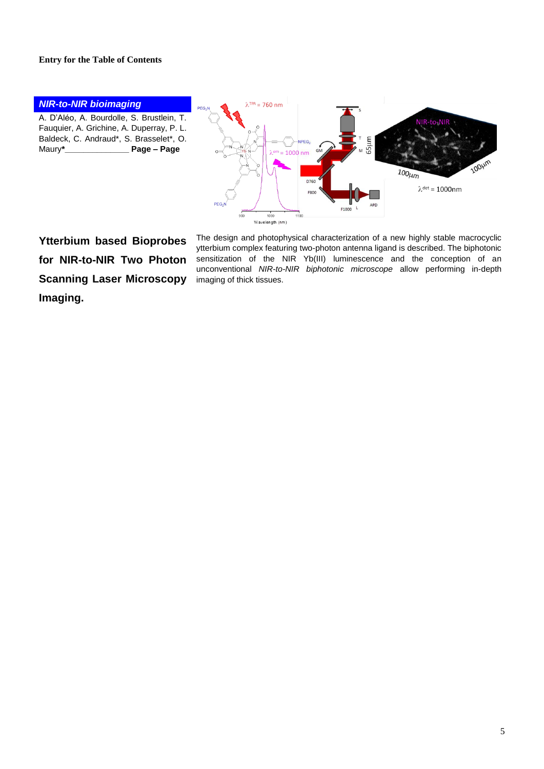#### **Entry for the Table of Contents**



**Ytterbium based Bioprobes for NIR-to-NIR Two Photon Scanning Laser Microscopy Imaging.** 

The design and photophysical characterization of a new highly stable macrocyclic ytterbium complex featuring two-photon antenna ligand is described. The biphotonic sensitization of the NIR Yb(III) luminescence and the conception of an unconventional *NIR-to-NIR biphotonic microscope* allow performing in-depth imaging of thick tissues.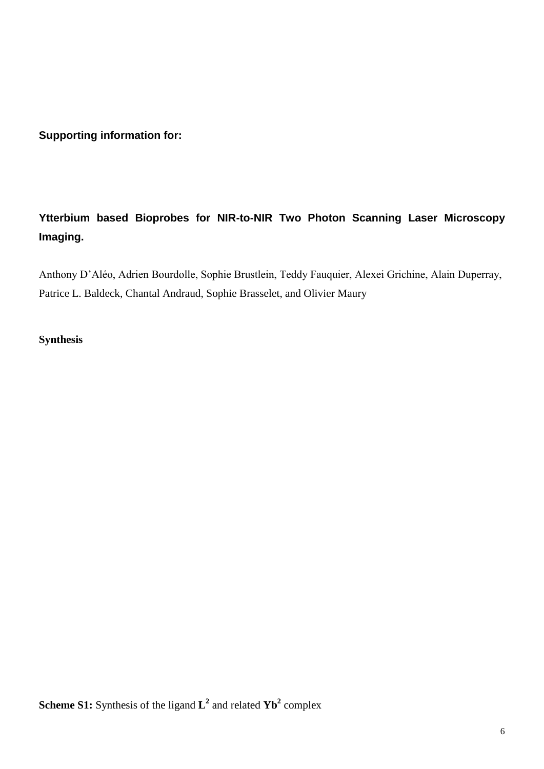**Supporting information for:**

## **Ytterbium based Bioprobes for NIR-to-NIR Two Photon Scanning Laser Microscopy Imaging.**

Anthony D'Aléo, Adrien Bourdolle, Sophie Brustlein, Teddy Fauquier, Alexei Grichine, Alain Duperray, Patrice L. Baldeck, Chantal Andraud, Sophie Brasselet, and Olivier Maury

### **Synthesis**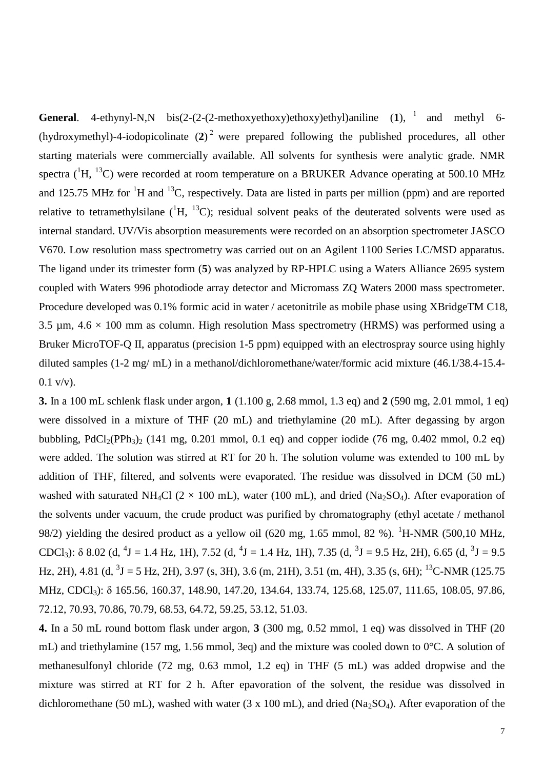**General**. 4-ethynyl-N,N bis(2-(2-(2-methoxyethoxy)ethoxy)ethyl)aniline  $(1)$ ,  $(1)$  and methyl 6-(hydroxymethyl)-4-iodopicolinate (**2**) <sup>2</sup> were prepared following the published procedures, all other starting materials were commercially available. All solvents for synthesis were analytic grade. NMR spectra ( ${}^{1}$ H,  ${}^{13}$ C) were recorded at room temperature on a BRUKER Advance operating at 500.10 MHz and 125.75 MHz for <sup>1</sup>H and <sup>13</sup>C, respectively. Data are listed in parts per million (ppm) and are reported relative to tetramethylsilane  $({}^{1}H, {}^{13}C)$ ; residual solvent peaks of the deuterated solvents were used as internal standard. UV/Vis absorption measurements were recorded on an absorption spectrometer JASCO V670. Low resolution mass spectrometry was carried out on an Agilent 1100 Series LC/MSD apparatus. The ligand under its trimester form (**5**) was analyzed by RP-HPLC using a Waters Alliance 2695 system coupled with Waters 996 photodiode array detector and Micromass ZQ Waters 2000 mass spectrometer. Procedure developed was 0.1% formic acid in water / acetonitrile as mobile phase using XBridgeTM C18, 3.5  $\mu$ m, 4.6  $\times$  100 mm as column. High resolution Mass spectrometry (HRMS) was performed using a Bruker MicroTOF-Q II, apparatus (precision 1-5 ppm) equipped with an electrospray source using highly diluted samples (1-2 mg/ mL) in a methanol/dichloromethane/water/formic acid mixture (46.1/38.4-15.4-  $0.1 \text{ v/v}.$ 

**3.** In a 100 mL schlenk flask under argon, **1** (1.100 g, 2.68 mmol, 1.3 eq) and **2** (590 mg, 2.01 mmol, 1 eq) were dissolved in a mixture of THF (20 mL) and triethylamine (20 mL). After degassing by argon bubbling, PdCl<sub>2</sub>(PPh<sub>3</sub>)<sub>2</sub> (141 mg, 0.201 mmol, 0.1 eq) and copper iodide (76 mg, 0.402 mmol, 0.2 eq) were added. The solution was stirred at RT for 20 h. The solution volume was extended to 100 mL by addition of THF, filtered, and solvents were evaporated. The residue was dissolved in DCM (50 mL) washed with saturated NH<sub>4</sub>Cl ( $2 \times 100$  mL), water (100 mL), and dried (Na<sub>2</sub>SO<sub>4</sub>). After evaporation of the solvents under vacuum, the crude product was purified by chromatography (ethyl acetate / methanol 98/2) yielding the desired product as a yellow oil (620 mg, 1.65 mmol, 82 %). <sup>1</sup>H-NMR (500,10 MHz, CDCl<sub>3</sub>):  $\delta$  8.02 (d, <sup>4</sup>J = 1.4 Hz, 1H), 7.52 (d, <sup>4</sup>J = 1.4 Hz, 1H), 7.35 (d, <sup>3</sup>J = 9.5 Hz, 2H), 6.65 (d, <sup>3</sup>J = 9.5 Hz, 2H), 4.81 (d, <sup>3</sup>J = 5 Hz, 2H), 3.97 (s, 3H), 3.6 (m, 21H), 3.51 (m, 4H), 3.35 (s, 6H); <sup>13</sup>C-NMR (125.75 MHz, CDCl<sub>3</sub>): δ 165.56, 160.37, 148.90, 147.20, 134.64, 133.74, 125.68, 125.07, 111.65, 108.05, 97.86, 72.12, 70.93, 70.86, 70.79, 68.53, 64.72, 59.25, 53.12, 51.03.

**4.** In a 50 mL round bottom flask under argon, **3** (300 mg, 0.52 mmol, 1 eq) was dissolved in THF (20 mL) and triethylamine (157 mg, 1.56 mmol, 3eq) and the mixture was cooled down to 0°C. A solution of methanesulfonyl chloride (72 mg, 0.63 mmol, 1.2 eq) in THF (5 mL) was added dropwise and the mixture was stirred at RT for 2 h. After epavoration of the solvent, the residue was dissolved in dichloromethane (50 mL), washed with water (3 x 100 mL), and dried ( $Na<sub>2</sub>SO<sub>4</sub>$ ). After evaporation of the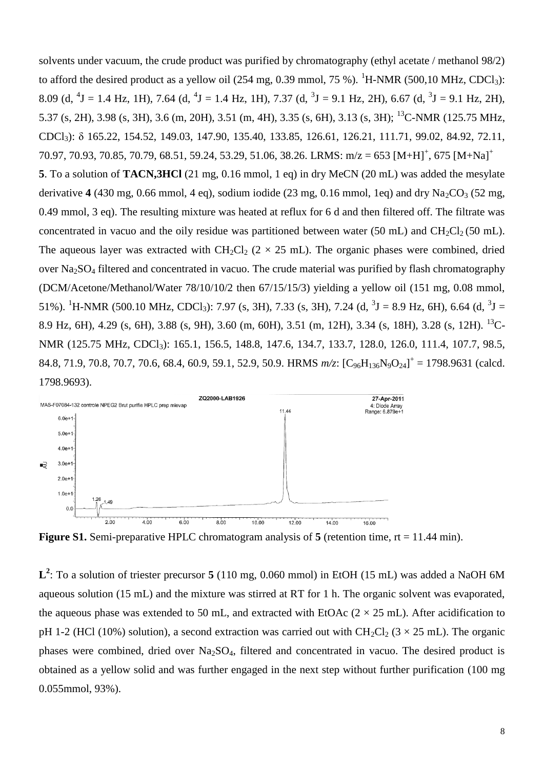solvents under vacuum, the crude product was purified by chromatography (ethyl acetate / methanol 98/2) to afford the desired product as a yellow oil (254 mg, 0.39 mmol, 75 %). <sup>1</sup>H-NMR (500,10 MHz, CDCl<sub>3</sub>): 8.09 (d, <sup>4</sup>J = 1.4 Hz, 1H), 7.64 (d, <sup>4</sup>J = 1.4 Hz, 1H), 7.37 (d, <sup>3</sup>J = 9.1 Hz, 2H), 6.67 (d, <sup>3</sup>J = 9.1 Hz, 2H), 5.37 (s, 2H), 3.98 (s, 3H), 3.6 (m, 20H), 3.51 (m, 4H), 3.35 (s, 6H), 3.13 (s, 3H); <sup>13</sup>C-NMR (125.75 MHz, CDCl3): δ 165.22, 154.52, 149.03, 147.90, 135.40, 133.85, 126.61, 126.21, 111.71, 99.02, 84.92, 72.11, 70.97, 70.93, 70.85, 70.79, 68.51, 59.24, 53.29, 51.06, 38.26. LRMS:  $m/z = 653 [M+H]<sup>+</sup>$ , 675  $[M+Na]<sup>+</sup>$ **5**. To a solution of **TACN,3HCl** (21 mg, 0.16 mmol, 1 eq) in dry MeCN (20 mL) was added the mesylate derivative  $4(430 \text{ mg}, 0.66 \text{ mmol}, 4 \text{ eq})$ , sodium iodide  $(23 \text{ mg}, 0.16 \text{ mmol}, 1 \text{ eq})$  and dry  $\text{Na}_2\text{CO}_3$  (52 mg, 0.49 mmol, 3 eq). The resulting mixture was heated at reflux for 6 d and then filtered off. The filtrate was concentrated in vacuo and the oily residue was partitioned between water (50 mL) and  $CH_2Cl_2(50 \text{ mL})$ . The aqueous layer was extracted with  $CH_2Cl_2$  (2 × 25 mL). The organic phases were combined, dried over Na2SO<sup>4</sup> filtered and concentrated in vacuo. The crude material was purified by flash chromatography (DCM/Acetone/Methanol/Water 78/10/10/2 then 67/15/15/3) yielding a yellow oil (151 mg, 0.08 mmol, 51%). <sup>1</sup>H-NMR (500.10 MHz, CDCl<sub>3</sub>): 7.97 (s, 3H), 7.33 (s, 3H), 7.24 (d, <sup>3</sup>J = 8.9 Hz, 6H), 6.64 (d, <sup>3</sup>J = 8.9 Hz, 6H), 4.29 (s, 6H), 3.88 (s, 9H), 3.60 (m, 60H), 3.51 (m, 12H), 3.34 (s, 18H), 3.28 (s, 12H). <sup>13</sup>C-NMR (125.75 MHz, CDCl<sub>3</sub>): 165.1, 156.5, 148.8, 147.6, 134.7, 133.7, 128.0, 126.0, 111.4, 107.7, 98.5, 84.8, 71.9, 70.8, 70.7, 70.6, 68.4, 60.9, 59.1, 52.9, 50.9. HRMS  $m/z$ :  $[C_{96}H_{136}N_9O_{24}]^+$  = 1798.9631 (calcd. 1798.9693).



**Figure S1.** Semi-preparative HPLC chromatogram analysis of 5 (retention time, rt = 11.44 min).

**L 2** : To a solution of triester precursor **5** (110 mg, 0.060 mmol) in EtOH (15 mL) was added a NaOH 6M aqueous solution (15 mL) and the mixture was stirred at RT for 1 h. The organic solvent was evaporated, the aqueous phase was extended to 50 mL, and extracted with EtOAc  $(2 \times 25 \text{ mL})$ . After acidification to pH 1-2 (HCl (10%) solution), a second extraction was carried out with  $CH_2Cl_2$  (3  $\times$  25 mL). The organic phases were combined, dried over  $Na<sub>2</sub>SO<sub>4</sub>$ , filtered and concentrated in vacuo. The desired product is obtained as a yellow solid and was further engaged in the next step without further purification (100 mg 0.055mmol, 93%).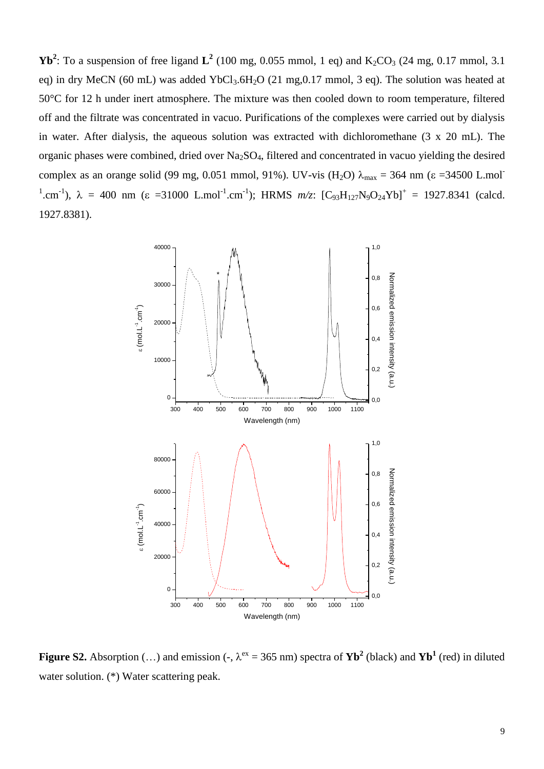**Yb<sup>2</sup>**: To a suspension of free ligand  $L^2$  (100 mg, 0.055 mmol, 1 eq) and  $K_2CO_3$  (24 mg, 0.17 mmol, 3.1) eq) in dry MeCN (60 mL) was added YbCl<sub>3</sub>.6H<sub>2</sub>O (21 mg, 0.17 mmol, 3 eq). The solution was heated at 50°C for 12 h under inert atmosphere. The mixture was then cooled down to room temperature, filtered off and the filtrate was concentrated in vacuo. Purifications of the complexes were carried out by dialysis in water. After dialysis, the aqueous solution was extracted with dichloromethane (3 x 20 mL). The organic phases were combined, dried over Na2SO4, filtered and concentrated in vacuo yielding the desired complex as an orange solid (99 mg, 0.051 mmol, 91%). UV-vis (H<sub>2</sub>O)  $\lambda_{\text{max}} = 364 \text{ nm}$  ( $\varepsilon = 34500 \text{ L} \cdot \text{mol}^{-}$ <sup>1</sup>.cm<sup>-1</sup>),  $\lambda = 400$  nm ( $\epsilon = 31000$  L.mol<sup>-1</sup>.cm<sup>-1</sup>); HRMS  $m/z$ :  $[C_{93}H_{127}N_9O_{24}Yb]^+ = 1927.8341$  (calcd. 1927.8381).



**Figure S2.** Absorption (...) and emission (-,  $\lambda^{ex} = 365$  nm) spectra of **Yb<sup>2</sup>** (black) and **Yb<sup>1</sup>** (red) in diluted water solution. (\*) Water scattering peak.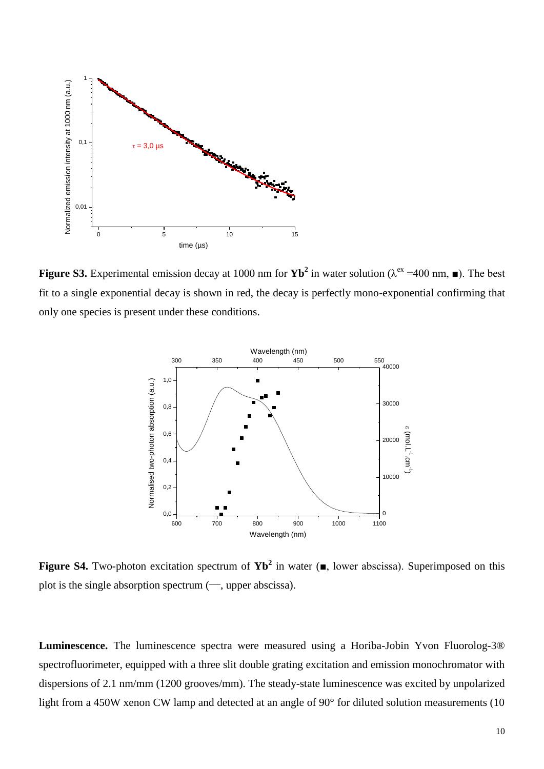

**Figure S3.** Experimental emission decay at 1000 nm for  $\text{Yb}^2$  in water solution ( $\lambda^{\text{ex}}$  =400 nm,  $\blacksquare$ ). The best fit to a single exponential decay is shown in red, the decay is perfectly mono-exponential confirming that only one species is present under these conditions.



**Figure S4.** Two-photon excitation spectrum of **Yb<sup>2</sup>** in water (■, lower abscissa). Superimposed on this plot is the single absorption spectrum  $(-)$ , upper abscissa).

**Luminescence.** The luminescence spectra were measured using a Horiba-Jobin Yvon Fluorolog-3<sup>®</sup> spectrofluorimeter, equipped with a three slit double grating excitation and emission monochromator with dispersions of 2.1 nm/mm (1200 grooves/mm). The steady-state luminescence was excited by unpolarized light from a 450W xenon CW lamp and detected at an angle of 90° for diluted solution measurements (10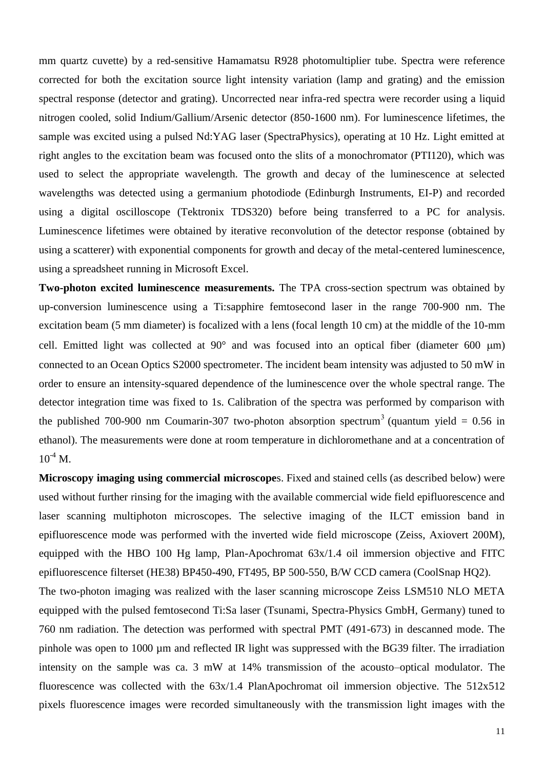mm quartz cuvette) by a red-sensitive Hamamatsu R928 photomultiplier tube. Spectra were reference corrected for both the excitation source light intensity variation (lamp and grating) and the emission spectral response (detector and grating). Uncorrected near infra-red spectra were recorder using a liquid nitrogen cooled, solid Indium/Gallium/Arsenic detector (850-1600 nm). For luminescence lifetimes, the sample was excited using a pulsed Nd:YAG laser (SpectraPhysics), operating at 10 Hz. Light emitted at right angles to the excitation beam was focused onto the slits of a monochromator (PTI120), which was used to select the appropriate wavelength. The growth and decay of the luminescence at selected wavelengths was detected using a germanium photodiode (Edinburgh Instruments, EI-P) and recorded using a digital oscilloscope (Tektronix TDS320) before being transferred to a PC for analysis. Luminescence lifetimes were obtained by iterative reconvolution of the detector response (obtained by using a scatterer) with exponential components for growth and decay of the metal-centered luminescence, using a spreadsheet running in Microsoft Excel.

**Two-photon excited luminescence measurements.** The TPA cross-section spectrum was obtained by up-conversion luminescence using a Ti:sapphire femtosecond laser in the range 700-900 nm. The excitation beam (5 mm diameter) is focalized with a lens (focal length 10 cm) at the middle of the 10-mm cell. Emitted light was collected at  $90^{\circ}$  and was focused into an optical fiber (diameter 600 um) connected to an Ocean Optics S2000 spectrometer. The incident beam intensity was adjusted to 50 mW in order to ensure an intensity-squared dependence of the luminescence over the whole spectral range. The detector integration time was fixed to 1s. Calibration of the spectra was performed by comparison with the published 700-900 nm Coumarin-307 two-photon absorption spectrum<sup>3</sup> (quantum yield = 0.56 in ethanol). The measurements were done at room temperature in dichloromethane and at a concentration of  $10^{-4}$  M.

**Microscopy imaging using commercial microscope**s. Fixed and stained cells (as described below) were used without further rinsing for the imaging with the available commercial wide field epifluorescence and laser scanning multiphoton microscopes. The selective imaging of the ILCT emission band in epifluorescence mode was performed with the inverted wide field microscope (Zeiss, Axiovert 200M), equipped with the HBO 100 Hg lamp, Plan-Apochromat  $63x/1.4$  oil immersion objective and FITC epifluorescence filterset (HE38) BP450-490, FT495, BP 500-550, B/W CCD camera (CoolSnap HQ2).

The two-photon imaging was realized with the laser scanning microscope Zeiss LSM510 NLO META equipped with the pulsed femtosecond Ti:Sa laser (Tsunami, Spectra-Physics GmbH, Germany) tuned to 760 nm radiation. The detection was performed with spectral PMT (491-673) in descanned mode. The pinhole was open to 1000 µm and reflected IR light was suppressed with the BG39 filter. The irradiation intensity on the sample was ca. 3 mW at 14% transmission of the acousto–optical modulator. The fluorescence was collected with the 63x/1.4 PlanApochromat oil immersion objective. The 512x512 pixels fluorescence images were recorded simultaneously with the transmission light images with the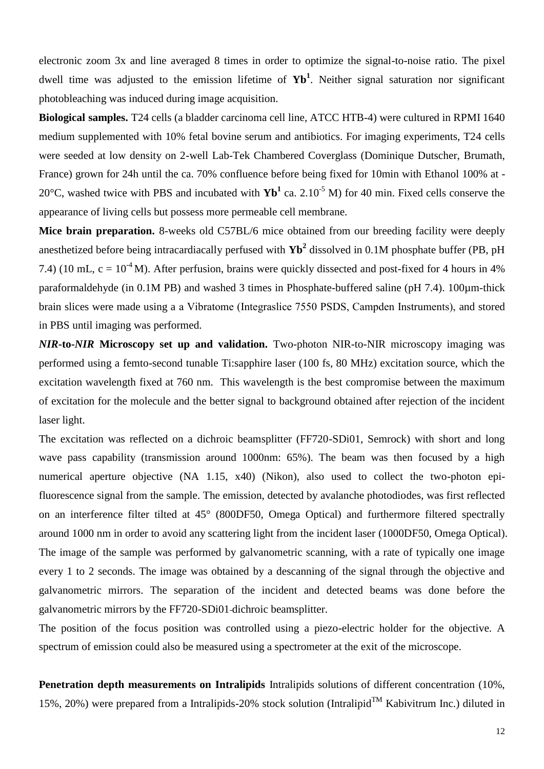electronic zoom 3x and line averaged 8 times in order to optimize the signal-to-noise ratio. The pixel dwell time was adjusted to the emission lifetime of **Yb<sup>1</sup>** . Neither signal saturation nor significant photobleaching was induced during image acquisition.

**Biological samples.** T24 cells (a bladder carcinoma cell line, ATCC HTB-4) were cultured in RPMI 1640 medium supplemented with 10% fetal bovine serum and antibiotics. For imaging experiments, T24 cells were seeded at low density on 2-well Lab-Tek Chambered Coverglass (Dominique Dutscher, Brumath, France) grown for 24h until the ca. 70% confluence before being fixed for 10min with Ethanol 100% at - 20 $^{\circ}$ C, washed twice with PBS and incubated with  $\mathbf{Yb}^1$  ca. 2.10<sup>-5</sup> M) for 40 min. Fixed cells conserve the appearance of living cells but possess more permeable cell membrane.

**Mice brain preparation.** 8-weeks old C57BL/6 mice obtained from our breeding facility were deeply anesthetized before being intracardiacally perfused with **Yb<sup>2</sup>** dissolved in 0.1M phosphate buffer (PB, pH 7.4) (10 mL,  $c = 10^{-4}$  M). After perfusion, brains were quickly dissected and post-fixed for 4 hours in 4% paraformaldehyde (in 0.1M PB) and washed 3 times in Phosphate-buffered saline (pH 7.4). 100µm-thick brain slices were made using a a Vibratome (Integraslice 7550 PSDS, Campden Instruments), and stored in PBS until imaging was performed.

*NIR***-to-***NIR* **Microscopy set up and validation.** Two-photon NIR-to-NIR microscopy imaging was performed using a femto-second tunable Ti:sapphire laser (100 fs, 80 MHz) excitation source, which the excitation wavelength fixed at 760 nm. This wavelength is the best compromise between the maximum of excitation for the molecule and the better signal to background obtained after rejection of the incident laser light.

The excitation was reflected on a dichroic beamsplitter (FF720-SDi01, Semrock) with short and long wave pass capability (transmission around 1000nm: 65%). The beam was then focused by a high numerical aperture objective (NA 1.15, x40) (Nikon), also used to collect the two-photon epifluorescence signal from the sample. The emission, detected by avalanche photodiodes, was first reflected on an interference filter tilted at 45° (800DF50, Omega Optical) and furthermore filtered spectrally around 1000 nm in order to avoid any scattering light from the incident laser (1000DF50, Omega Optical). The image of the sample was performed by galvanometric scanning, with a rate of typically one image every 1 to 2 seconds. The image was obtained by a descanning of the signal through the objective and galvanometric mirrors. The separation of the incident and detected beams was done before the galvanometric mirrors by the FF720-SDi01 dichroic beamsplitter.

The position of the focus position was controlled using a piezo-electric holder for the objective. A spectrum of emission could also be measured using a spectrometer at the exit of the microscope.

**Penetration depth measurements on Intralipids** Intralipids solutions of different concentration (10%, 15%, 20%) were prepared from a Intralipids-20% stock solution (Intralipid<sup>TM</sup> Kabivitrum Inc.) diluted in